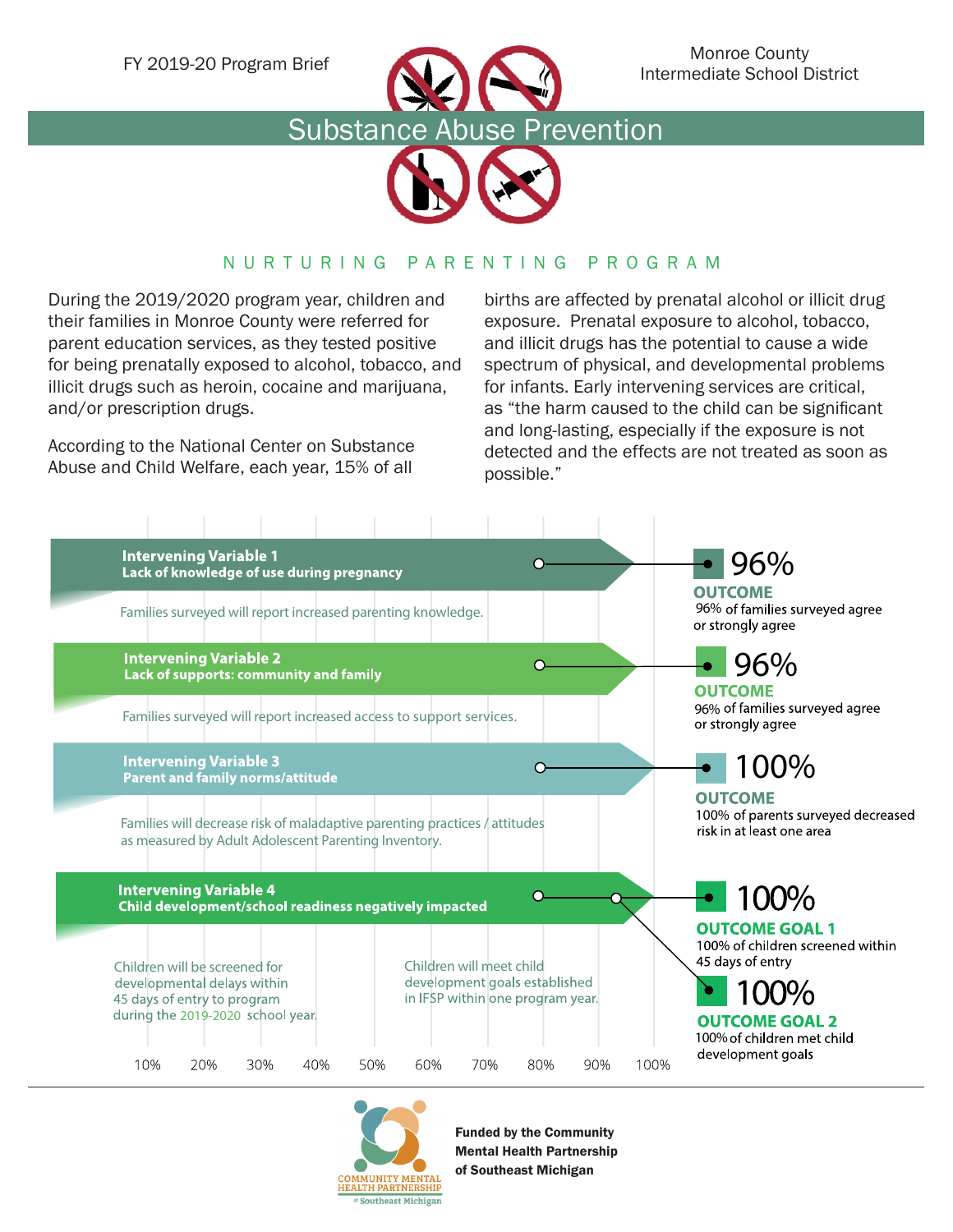





## NURTURING PARENTING PROGRAM

During the 2019/2020 program year, children and their families in Monroe County were referred for parent education services, as they tested positive for being prenatally exposed to alcohol, tobacco, and illicit drugs such as heroin, cocaine and marijuana, and/or prescription drugs.

According to the National Center on Substance Abuse and Child Welfare, each year, 15% of all

births are affected by prenatal alcohol or illicit drug exposure. Prenatal exposure to alcohol, tobacco, and illicit drugs has the potential to cause a wide spectrum of physical, and developmental problems for infants. Early intervening services are critical, as "the harm caused to the child can be significant and long-lasting, especially if the exposure is not detected and the effects are not treated as soon as possible."





Funded by the Community Mental Health Partnership of Southeast Michigan